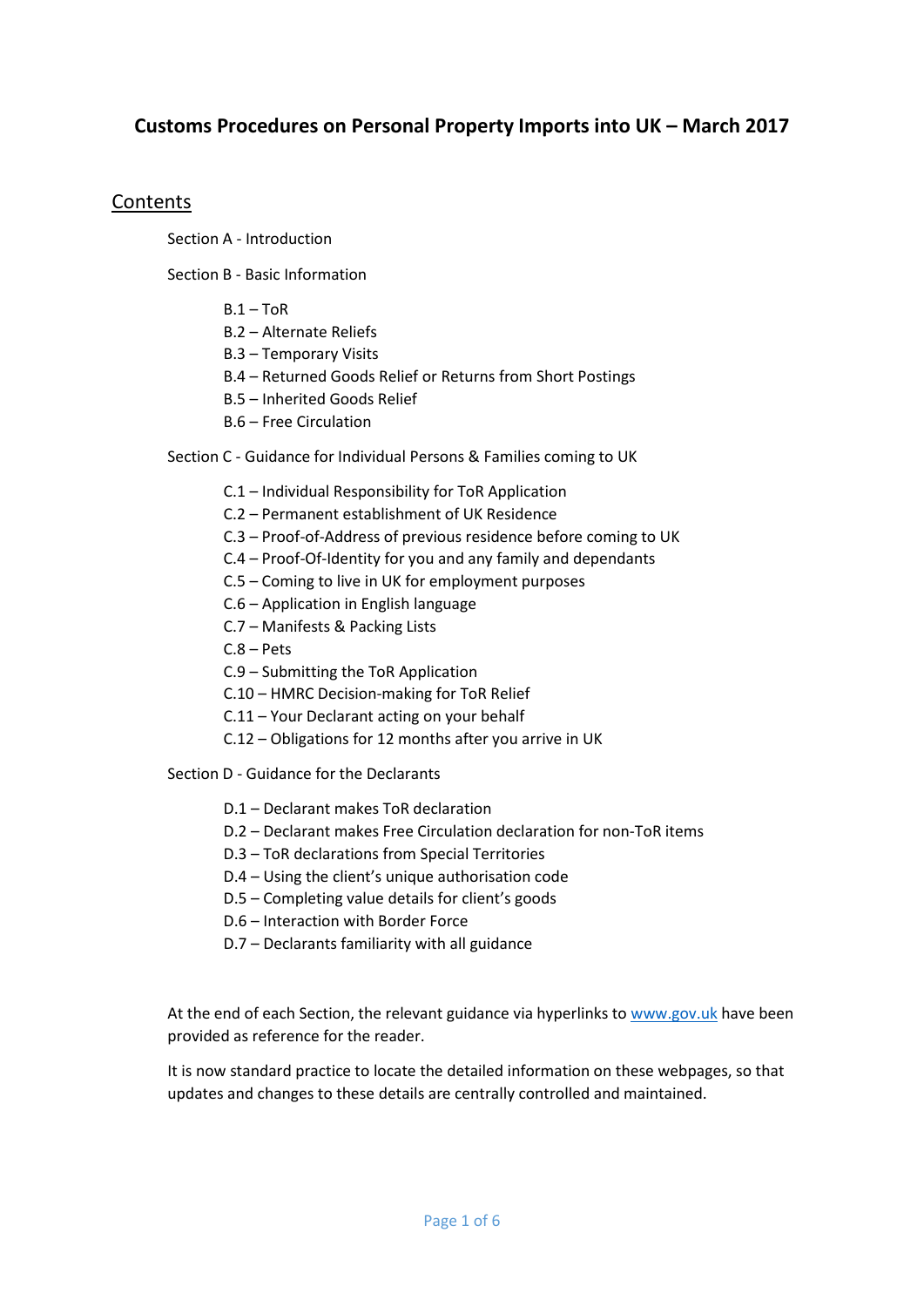# **Customs Procedures on Personal Property Imports into UK – March 2017**

# Contents

Section A - Introduction

Section B - Basic Information

- $B.1 ToR$
- B.2 Alternate Reliefs
- B.3 Temporary Visits
- B.4 Returned Goods Relief or Returns from Short Postings
- B.5 Inherited Goods Relief
- B.6 Free Circulation
- Section C Guidance for Individual Persons & Families coming to UK
	- C.1 Individual Responsibility for ToR Application
	- C.2 Permanent establishment of UK Residence
	- C.3 Proof-of-Address of previous residence before coming to UK
	- C.4 Proof-Of-Identity for you and any family and dependants
	- C.5 Coming to live in UK for employment purposes
	- C.6 Application in English language
	- C.7 Manifests & Packing Lists
	- C.8 Pets
	- C.9 Submitting the ToR Application
	- C.10 HMRC Decision-making for ToR Relief
	- C.11 Your Declarant acting on your behalf
	- C.12 Obligations for 12 months after you arrive in UK

Section D - Guidance for the Declarants

- D.1 Declarant makes ToR declaration
- D.2 Declarant makes Free Circulation declaration for non-ToR items
- D.3 ToR declarations from Special Territories
- D.4 Using the client's unique authorisation code
- D.5 Completing value details for client's goods
- D.6 Interaction with Border Force
- D.7 Declarants familiarity with all guidance

At the end of each Section, the relevant guidance via hyperlinks to [www.gov.uk](http://www.gov.uk/) have been provided as reference for the reader.

It is now standard practice to locate the detailed information on these webpages, so that updates and changes to these details are centrally controlled and maintained.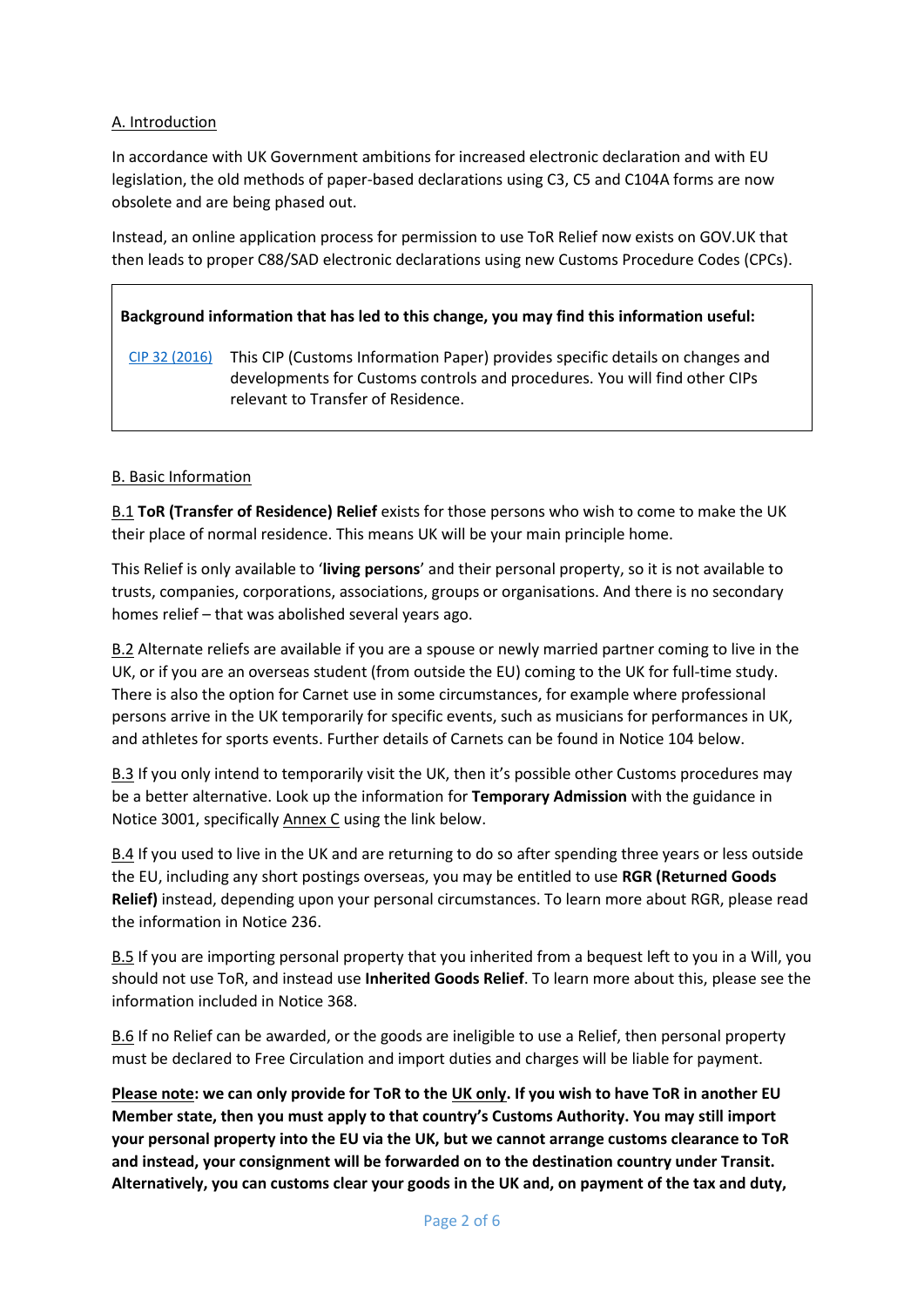## A. Introduction

In accordance with UK Government ambitions for increased electronic declaration and with EU legislation, the old methods of paper-based declarations using C3, C5 and C104A forms are now obsolete and are being phased out.

Instead, an online application process for permission to use ToR Relief now exists on GOV.UK that then leads to proper C88/SAD electronic declarations using new Customs Procedure Codes (CPCs).

# **Background information that has led to this change, you may find this information useful:**

[CIP 32 \(2016\)](https://www.gov.uk/government/publications/customs-information-paper-32-2016-tor-consignments-uk-clearance-approved-depositories-and-transit-to-eu) This CIP (Customs Information Paper) provides specific details on changes and developments for Customs controls and procedures. You will find other CIPs relevant to Transfer of Residence.

## B. Basic Information

B.1 **ToR (Transfer of Residence) Relief** exists for those persons who wish to come to make the UK their place of normal residence. This means UK will be your main principle home.

This Relief is only available to '**living persons**' and their personal property, so it is not available to trusts, companies, corporations, associations, groups or organisations. And there is no secondary homes relief – that was abolished several years ago.

B.2 Alternate reliefs are available if you are a spouse or newly married partner coming to live in the UK, or if you are an overseas student (from outside the EU) coming to the UK for full-time study. There is also the option for Carnet use in some circumstances, for example where professional persons arrive in the UK temporarily for specific events, such as musicians for performances in UK, and athletes for sports events. Further details of Carnets can be found in Notice 104 below.

B.3 If you only intend to temporarily visit the UK, then it's possible other Customs procedures may be a better alternative. Look up the information for **Temporary Admission** with the guidance in Notice 3001, specifically Annex C using the link below.

B.4 If you used to live in the UK and are returning to do so after spending three years or less outside the EU, including any short postings overseas, you may be entitled to use **RGR (Returned Goods Relief)** instead, depending upon your personal circumstances. To learn more about RGR, please read the information in Notice 236.

B.5 If you are importing personal property that you inherited from a bequest left to you in a Will, you should not use ToR, and instead use **Inherited Goods Relief**. To learn more about this, please see the information included in Notice 368.

B.6 If no Relief can be awarded, or the goods are ineligible to use a Relief, then personal property must be declared to Free Circulation and import duties and charges will be liable for payment.

**Please note: we can only provide for ToR to the UK only. If you wish to have ToR in another EU Member state, then you must apply to that country's Customs Authority. You may still import your personal property into the EU via the UK, but we cannot arrange customs clearance to ToR and instead, your consignment will be forwarded on to the destination country under Transit. Alternatively, you can customs clear your goods in the UK and, on payment of the tax and duty,**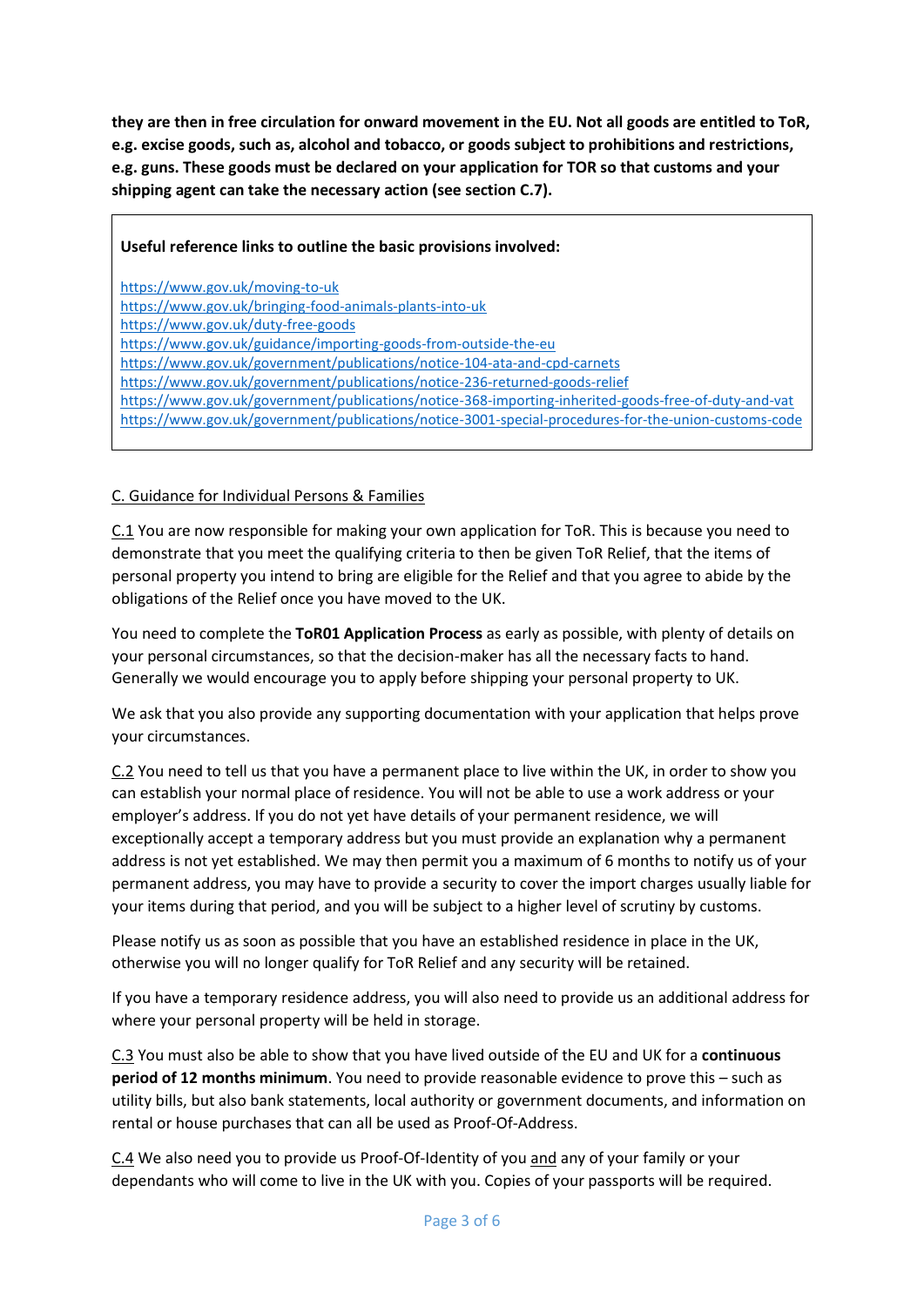**they are then in free circulation for onward movement in the EU. Not all goods are entitled to ToR, e.g. excise goods, such as, alcohol and tobacco, or goods subject to prohibitions and restrictions, e.g. guns. These goods must be declared on your application for TOR so that customs and your shipping agent can take the necessary action (see section C.7).**

|  | Useful reference links to outline the basic provisions involved: |  |
|--|------------------------------------------------------------------|--|
|  |                                                                  |  |

<https://www.gov.uk/moving-to-uk>

<https://www.gov.uk/bringing-food-animals-plants-into-uk>

<https://www.gov.uk/duty-free-goods>

<https://www.gov.uk/guidance/importing-goods-from-outside-the-eu>

<https://www.gov.uk/government/publications/notice-104-ata-and-cpd-carnets>

<https://www.gov.uk/government/publications/notice-236-returned-goods-relief>

<https://www.gov.uk/government/publications/notice-368-importing-inherited-goods-free-of-duty-and-vat> <https://www.gov.uk/government/publications/notice-3001-special-procedures-for-the-union-customs-code>

#### C. Guidance for Individual Persons & Families

C.1 You are now responsible for making your own application for ToR. This is because you need to demonstrate that you meet the qualifying criteria to then be given ToR Relief, that the items of personal property you intend to bring are eligible for the Relief and that you agree to abide by the obligations of the Relief once you have moved to the UK.

You need to complete the **ToR01 Application Process** as early as possible, with plenty of details on your personal circumstances, so that the decision-maker has all the necessary facts to hand. Generally we would encourage you to apply before shipping your personal property to UK.

We ask that you also provide any supporting documentation with your application that helps prove your circumstances.

C.2 You need to tell us that you have a permanent place to live within the UK, in order to show you can establish your normal place of residence. You will not be able to use a work address or your employer's address. If you do not yet have details of your permanent residence, we will exceptionally accept a temporary address but you must provide an explanation why a permanent address is not yet established. We may then permit you a maximum of 6 months to notify us of your permanent address, you may have to provide a security to cover the import charges usually liable for your items during that period, and you will be subject to a higher level of scrutiny by customs.

Please notify us as soon as possible that you have an established residence in place in the UK, otherwise you will no longer qualify for ToR Relief and any security will be retained.

If you have a temporary residence address, you will also need to provide us an additional address for where your personal property will be held in storage.

C.3 You must also be able to show that you have lived outside of the EU and UK for a **continuous period of 12 months minimum**. You need to provide reasonable evidence to prove this – such as utility bills, but also bank statements, local authority or government documents, and information on rental or house purchases that can all be used as Proof-Of-Address.

C.4 We also need you to provide us Proof-Of-Identity of you and any of your family or your dependants who will come to live in the UK with you. Copies of your passports will be required.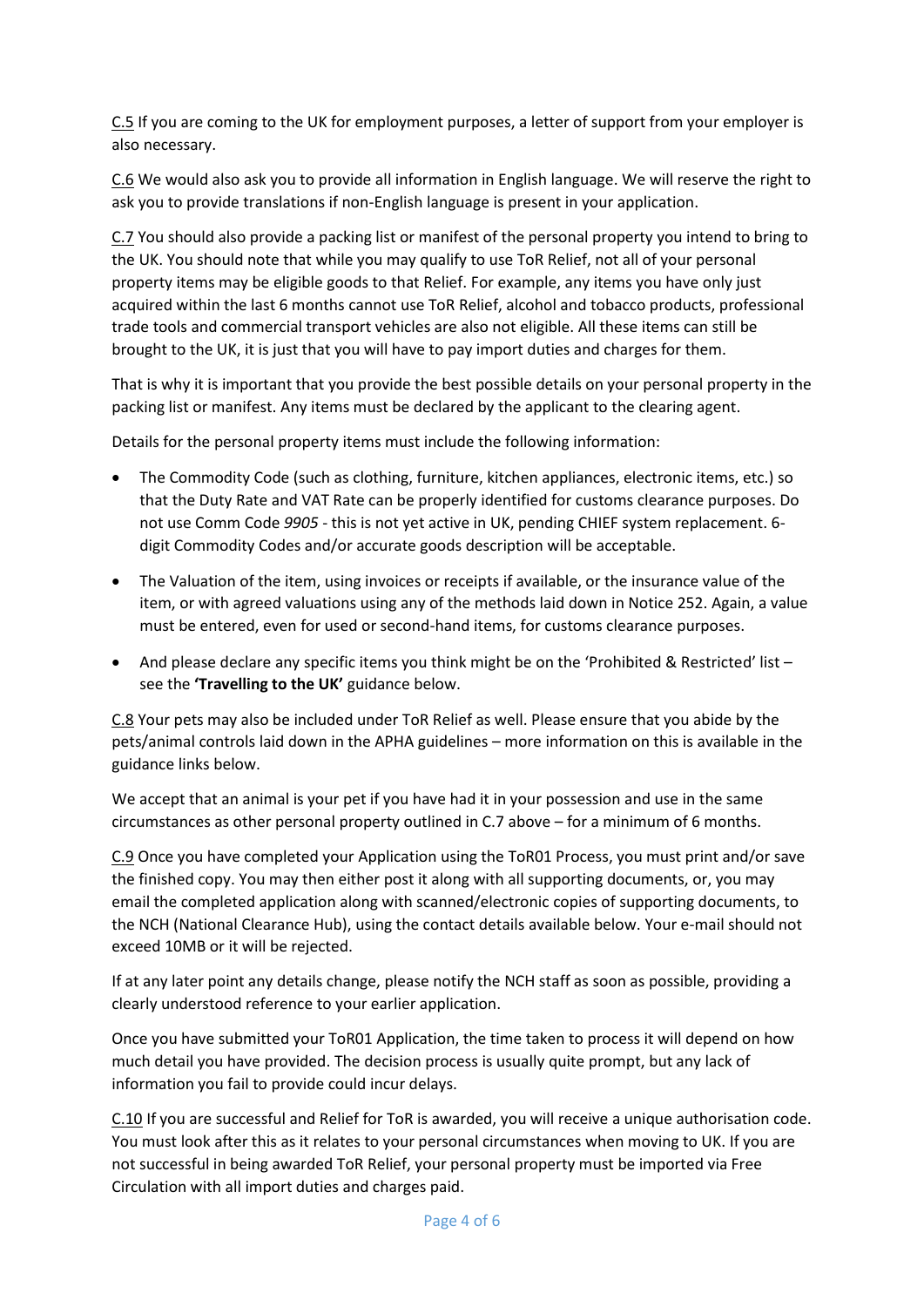C.5 If you are coming to the UK for employment purposes, a letter of support from your employer is also necessary.

C.6 We would also ask you to provide all information in English language. We will reserve the right to ask you to provide translations if non-English language is present in your application.

C.7 You should also provide a packing list or manifest of the personal property you intend to bring to the UK. You should note that while you may qualify to use ToR Relief, not all of your personal property items may be eligible goods to that Relief. For example, any items you have only just acquired within the last 6 months cannot use ToR Relief, alcohol and tobacco products, professional trade tools and commercial transport vehicles are also not eligible. All these items can still be brought to the UK, it is just that you will have to pay import duties and charges for them.

That is why it is important that you provide the best possible details on your personal property in the packing list or manifest. Any items must be declared by the applicant to the clearing agent.

Details for the personal property items must include the following information:

- The Commodity Code (such as clothing, furniture, kitchen appliances, electronic items, etc.) so that the Duty Rate and VAT Rate can be properly identified for customs clearance purposes. Do not use Comm Code *9905* - this is not yet active in UK, pending CHIEF system replacement. 6 digit Commodity Codes and/or accurate goods description will be acceptable.
- The Valuation of the item, using invoices or receipts if available, or the insurance value of the item, or with agreed valuations using any of the methods laid down in Notice 252. Again, a value must be entered, even for used or second-hand items, for customs clearance purposes.
- And please declare any specific items you think might be on the 'Prohibited & Restricted' list see the **'Travelling to the UK'** guidance below.

C.8 Your pets may also be included under ToR Relief as well. Please ensure that you abide by the pets/animal controls laid down in the APHA guidelines – more information on this is available in the guidance links below.

We accept that an animal is your pet if you have had it in your possession and use in the same circumstances as other personal property outlined in C.7 above – for a minimum of 6 months.

C.9 Once you have completed your Application using the ToR01 Process, you must print and/or save the finished copy. You may then either post it along with all supporting documents, or, you may email the completed application along with scanned/electronic copies of supporting documents, to the NCH (National Clearance Hub), using the contact details available below. Your e-mail should not exceed 10MB or it will be rejected.

If at any later point any details change, please notify the NCH staff as soon as possible, providing a clearly understood reference to your earlier application.

Once you have submitted your ToR01 Application, the time taken to process it will depend on how much detail you have provided. The decision process is usually quite prompt, but any lack of information you fail to provide could incur delays.

C.10 If you are successful and Relief for ToR is awarded, you will receive a unique authorisation code. You must look after this as it relates to your personal circumstances when moving to UK. If you are not successful in being awarded ToR Relief, your personal property must be imported via Free Circulation with all import duties and charges paid.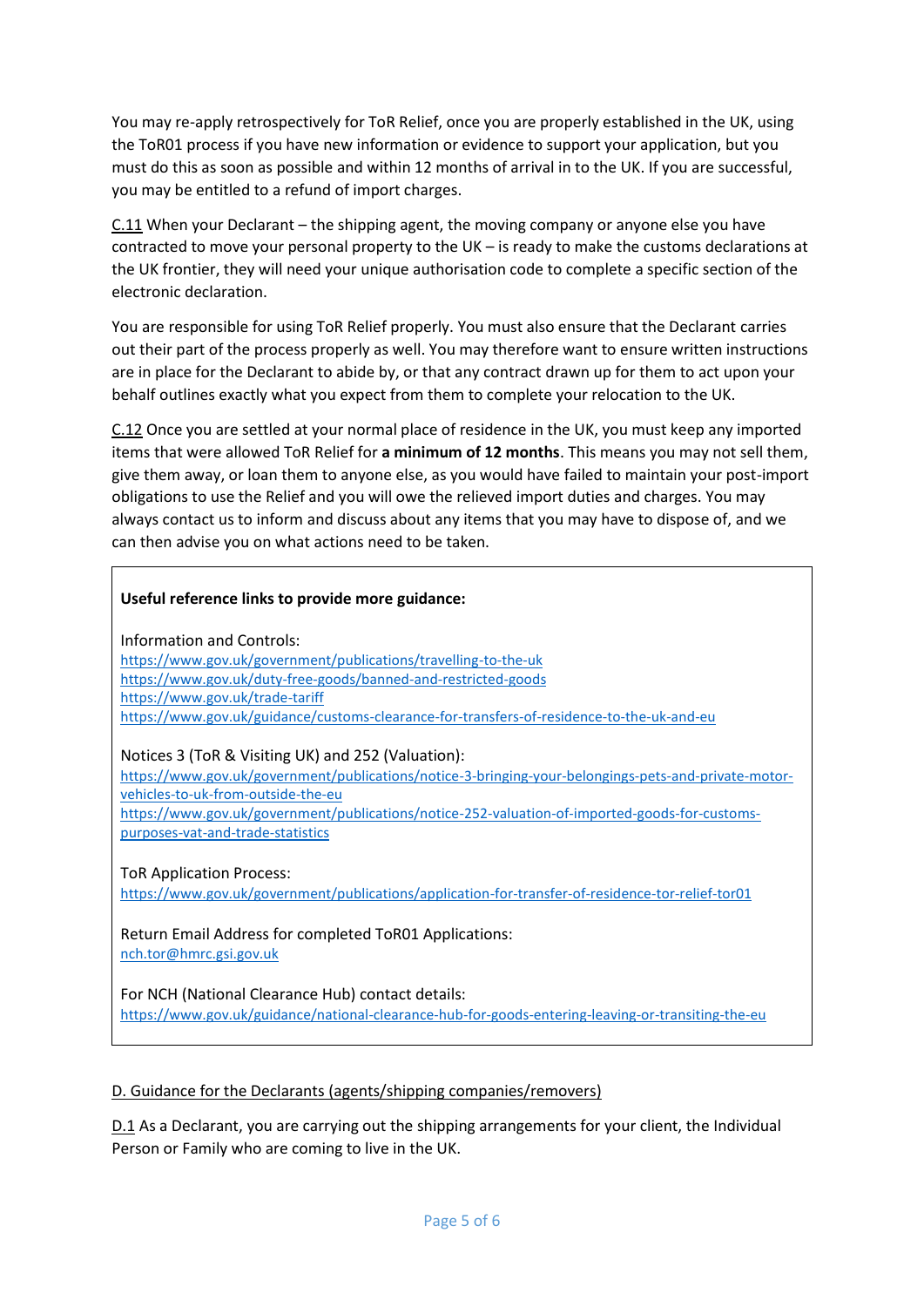You may re-apply retrospectively for ToR Relief, once you are properly established in the UK, using the ToR01 process if you have new information or evidence to support your application, but you must do this as soon as possible and within 12 months of arrival in to the UK. If you are successful, you may be entitled to a refund of import charges.

C.11 When your Declarant – the shipping agent, the moving company or anyone else you have contracted to move your personal property to the UK – is ready to make the customs declarations at the UK frontier, they will need your unique authorisation code to complete a specific section of the electronic declaration.

You are responsible for using ToR Relief properly. You must also ensure that the Declarant carries out their part of the process properly as well. You may therefore want to ensure written instructions are in place for the Declarant to abide by, or that any contract drawn up for them to act upon your behalf outlines exactly what you expect from them to complete your relocation to the UK.

C.12 Once you are settled at your normal place of residence in the UK, you must keep any imported items that were allowed ToR Relief for **a minimum of 12 months**. This means you may not sell them, give them away, or loan them to anyone else, as you would have failed to maintain your post-import obligations to use the Relief and you will owe the relieved import duties and charges. You may always contact us to inform and discuss about any items that you may have to dispose of, and we can then advise you on what actions need to be taken.

#### **Useful reference links to provide more guidance:**

Information and Controls:

<https://www.gov.uk/government/publications/travelling-to-the-uk> <https://www.gov.uk/duty-free-goods/banned-and-restricted-goods> <https://www.gov.uk/trade-tariff> <https://www.gov.uk/guidance/customs-clearance-for-transfers-of-residence-to-the-uk-and-eu>

Notices 3 (ToR & Visiting UK) and 252 (Valuation):

[https://www.gov.uk/government/publications/notice-3-bringing-your-belongings-pets-and-private-motor](https://www.gov.uk/government/publications/notice-3-bringing-your-belongings-pets-and-private-motor-vehicles-to-uk-from-outside-the-eu)[vehicles-to-uk-from-outside-the-eu](https://www.gov.uk/government/publications/notice-3-bringing-your-belongings-pets-and-private-motor-vehicles-to-uk-from-outside-the-eu)

[https://www.gov.uk/government/publications/notice-252-valuation-of-imported-goods-for-customs](https://www.gov.uk/government/publications/notice-252-valuation-of-imported-goods-for-customs-purposes-vat-and-trade-statistics)[purposes-vat-and-trade-statistics](https://www.gov.uk/government/publications/notice-252-valuation-of-imported-goods-for-customs-purposes-vat-and-trade-statistics)

ToR Application Process:

<https://www.gov.uk/government/publications/application-for-transfer-of-residence-tor-relief-tor01>

Return Email Address for completed ToR01 Applications: [nch.tor@hmrc.gsi.gov.uk](mailto:nch.tor@hmrc.gsi.gov.uk)

For NCH (National Clearance Hub) contact details: <https://www.gov.uk/guidance/national-clearance-hub-for-goods-entering-leaving-or-transiting-the-eu>

#### D. Guidance for the Declarants (agents/shipping companies/removers)

D.1 As a Declarant, you are carrying out the shipping arrangements for your client, the Individual Person or Family who are coming to live in the UK.